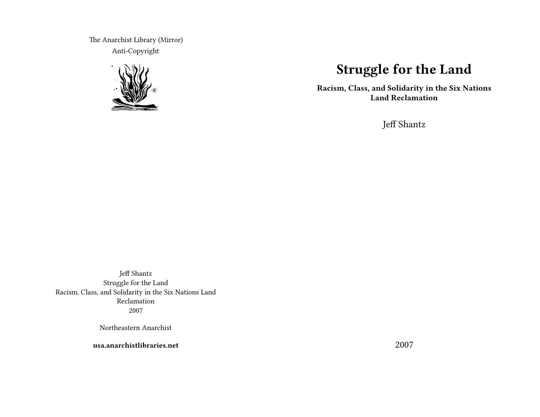The Anarchist Library (Mirror) Anti-Copyright



# **Struggle for the Land**

**Racism, Class, and Solidarity in the Six Nations Land Reclamation**

Jeff Shantz

Jeff Shantz Struggle for the Land Racism, Class, and Solidarity in the Six Nations Land Reclamation 2007

Northeastern Anarchist

**usa.anarchistlibraries.net**

2007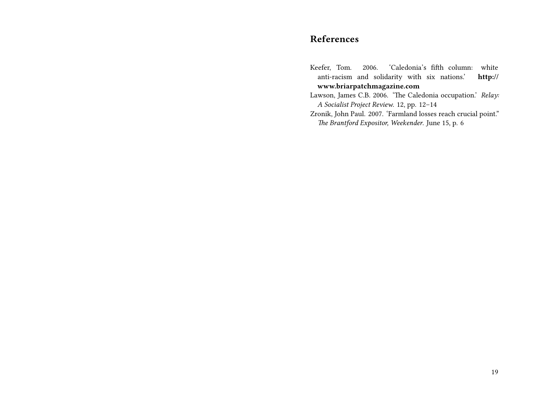## **References**

- Keefer, Tom. 2006. 'Caledonia's fifth column: white anti-racism and solidarity with six nations.' **http:// www.briarpatchmagazine.com**
- Lawson, James C.B. 2006. 'The Caledonia occupation.' *Relay: A Socialist Project Review*. 12, pp. 12–14
- Zronik, John Paul. 2007. 'Farmland losses reach crucial point." *The Brantford Expositor, Weekender*. June 15, p. 6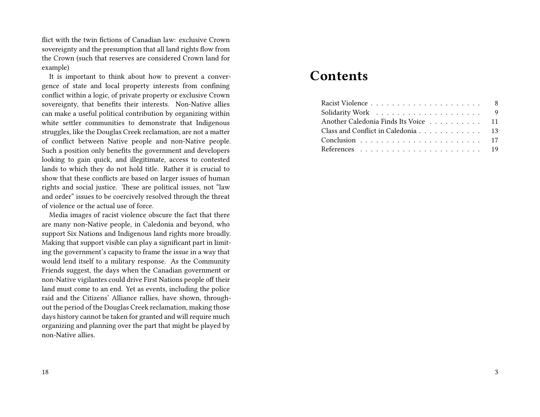flict with the twin fictions of Canadian law: exclusive Crown sovereignty and the presumption that all land rights flow from the Crown (such that reserves are considered Crown land for example)

It is important to think about how to prevent a convergence of state and local property interests from confining conflict within a logic, of private property or exclusive Crown sovereignty, that benefits their interests. Non-Native allies can make a useful political contribution by organizing within white settler communities to demonstrate that Indigenous struggles, like the Douglas Creek reclamation, are not a matter of conflict between Native people and non-Native people. Such a position only benefits the government and developers looking to gain quick, and illegitimate, access to contested lands to which they do not hold title. Rather it is crucial to show that these conflicts are based on larger issues of human rights and social justice. These are political issues, not "law and order" issues to be coercively resolved through the threat of violence or the actual use of force.

Media images of racist violence obscure the fact that there are many non-Native people, in Caledonia and beyond, who support Six Nations and Indigenous land rights more broadly. Making that support visible can play a significant part in limiting the government's capacity to frame the issue in a way that would lend itself to a military response. As the Community Friends suggest, the days when the Canadian government or non-Native vigilantes could drive First Nations people off their land must come to an end. Yet as events, including the police raid and the Citizens' Alliance rallies, have shown, throughout the period of the Douglas Creek reclamation, making those days history cannot be taken for granted and will require much organizing and planning over the part that might be played by non-Native allies.

# **Contents**

| Another Caledonia Finds Its Voice 11 |  |
|--------------------------------------|--|
| Class and Conflict in Caledonia 13   |  |
|                                      |  |
|                                      |  |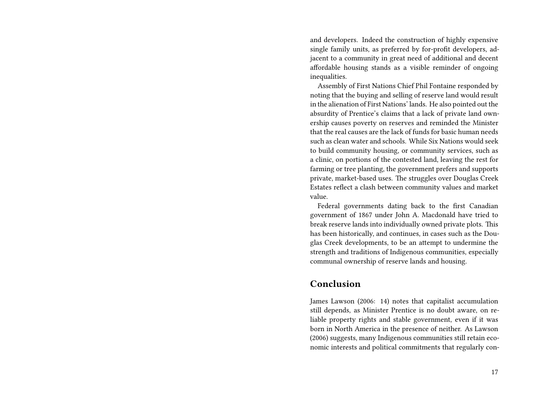and developers. Indeed the construction of highly expensive single family units, as preferred by for-profit developers, adjacent to a community in great need of additional and decent affordable housing stands as a visible reminder of ongoing inequalities.

Assembly of First Nations Chief Phil Fontaine responded by noting that the buying and selling of reserve land would result in the alienation of First Nations' lands. He also pointed out the absurdity of Prentice's claims that a lack of private land ownership causes poverty on reserves and reminded the Minister that the real causes are the lack of funds for basic human needs such as clean water and schools. While Six Nations would seek to build community housing, or community services, such as a clinic, on portions of the contested land, leaving the rest for farming or tree planting, the government prefers and supports private, market-based uses. The struggles over Douglas Creek Estates reflect a clash between community values and market value.

Federal governments dating back to the first Canadian government of 1867 under John A. Macdonald have tried to break reserve lands into individually owned private plots. This has been historically, and continues, in cases such as the Douglas Creek developments, to be an attempt to undermine the strength and traditions of Indigenous communities, especially communal ownership of reserve lands and housing.

#### **Conclusion**

James Lawson (2006: 14) notes that capitalist accumulation still depends, as Minister Prentice is no doubt aware, on reliable property rights and stable government, even if it was born in North America in the presence of neither. As Lawson (2006) suggests, many Indigenous communities still retain economic interests and political commitments that regularly con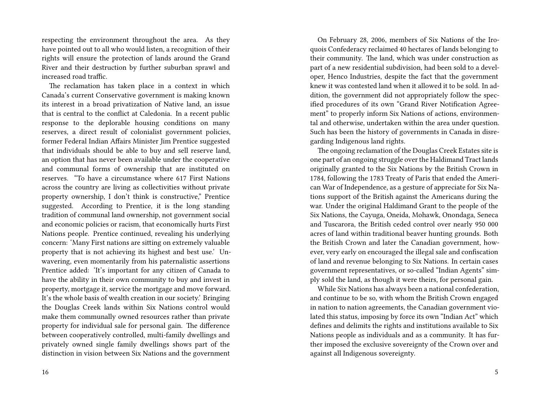respecting the environment throughout the area. As they have pointed out to all who would listen, a recognition of their rights will ensure the protection of lands around the Grand River and their destruction by further suburban sprawl and increased road traffic.

The reclamation has taken place in a context in which Canada's current Conservative government is making known its interest in a broad privatization of Native land, an issue that is central to the conflict at Caledonia. In a recent public response to the deplorable housing conditions on many reserves, a direct result of colonialist government policies, former Federal Indian Affairs Minister Jim Prentice suggested that individuals should be able to buy and sell reserve land, an option that has never been available under the cooperative and communal forms of ownership that are instituted on reserves. "To have a circumstance where 617 First Nations across the country are living as collectivities without private property ownership, I don't think is constructive," Prentice suggested. According to Prentice, it is the long standing tradition of communal land ownership, not government social and economic policies or racism, that economically hurts First Nations people. Prentice continued, revealing his underlying concern: 'Many First nations are sitting on extremely valuable property that is not achieving its highest and best use.' Unwavering, even momentarily from his paternalistic assertions Prentice added: 'It's important for any citizen of Canada to have the ability in their own community to buy and invest in property, mortgage it, service the mortgage and move forward. It's the whole basis of wealth creation in our society.' Bringing the Douglas Creek lands within Six Nations control would make them communally owned resources rather than private property for individual sale for personal gain. The difference between cooperatively controlled, multi-family dwellings and privately owned single family dwellings shows part of the distinction in vision between Six Nations and the government

On February 28, 2006, members of Six Nations of the Iroquois Confederacy reclaimed 40 hectares of lands belonging to their community. The land, which was under construction as part of a new residential subdivision, had been sold to a developer, Henco Industries, despite the fact that the government knew it was contested land when it allowed it to be sold. In addition, the government did not appropriately follow the specified procedures of its own "Grand River Notification Agreement" to properly inform Six Nations of actions, environmental and otherwise, undertaken within the area under question. Such has been the history of governments in Canada in disregarding Indigenous land rights.

The ongoing reclamation of the Douglas Creek Estates site is one part of an ongoing struggle over the Haldimand Tract lands originally granted to the Six Nations by the British Crown in 1784, following the 1783 Treaty of Paris that ended the American War of Independence, as a gesture of appreciate for Six Nations support of the British against the Americans during the war. Under the original Haldimand Grant to the people of the Six Nations, the Cayuga, Oneida, Mohawk, Onondaga, Seneca and Tuscarora, the British ceded control over nearly 950 000 acres of land within traditional beaver hunting grounds. Both the British Crown and later the Canadian government, however, very early on encouraged the illegal sale and confiscation of land and revenue belonging to Six Nations. In certain cases government representatives, or so-called "Indian Agents" simply sold the land, as though it were theirs, for personal gain.

While Six Nations has always been a national confederation, and continue to be so, with whom the British Crown engaged in nation to nation agreements, the Canadian government violated this status, imposing by force its own "Indian Act" which defines and delimits the rights and institutions available to Six Nations people as individuals and as a community. It has further imposed the exclusive sovereignty of the Crown over and against all Indigenous sovereignty.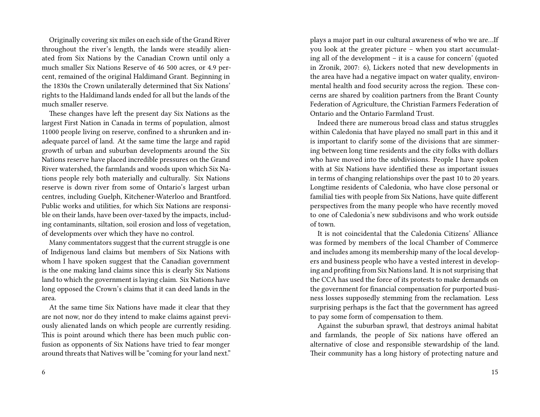Originally covering six miles on each side of the Grand River throughout the river's length, the lands were steadily alienated from Six Nations by the Canadian Crown until only a much smaller Six Nations Reserve of 46 500 acres, or 4.9 percent, remained of the original Haldimand Grant. Beginning in the 1830s the Crown unilaterally determined that Six Nations' rights to the Haldimand lands ended for all but the lands of the much smaller reserve.

These changes have left the present day Six Nations as the largest First Nation in Canada in terms of population, almost 11000 people living on reserve, confined to a shrunken and inadequate parcel of land. At the same time the large and rapid growth of urban and suburban developments around the Six Nations reserve have placed incredible pressures on the Grand River watershed, the farmlands and woods upon which Six Nations people rely both materially and culturally. Six Nations reserve is down river from some of Ontario's largest urban centres, including Guelph, Kitchener-Waterloo and Brantford. Public works and utilities, for which Six Nations are responsible on their lands, have been over-taxed by the impacts, including contaminants, siltation, soil erosion and loss of vegetation, of developments over which they have no control.

Many commentators suggest that the current struggle is one of Indigenous land claims but members of Six Nations with whom I have spoken suggest that the Canadian government is the one making land claims since this is clearly Six Nations land to which the government is laying claim. Six Nations have long opposed the Crown's claims that it can deed lands in the area.

At the same time Six Nations have made it clear that they are not now, nor do they intend to make claims against previously alienated lands on which people are currently residing. This is point around which there has been much public confusion as opponents of Six Nations have tried to fear monger around threats that Natives will be "coming for your land next."

plays a major part in our cultural awareness of who we are…If you look at the greater picture – when you start accumulating all of the development – it is a cause for concern' (quoted in Zronik, 2007: 6), Lickers noted that new developments in the area have had a negative impact on water quality, environmental health and food security across the region. These concerns are shared by coalition partners from the Brant County Federation of Agriculture, the Christian Farmers Federation of Ontario and the Ontario Farmland Trust.

Indeed there are numerous broad class and status struggles within Caledonia that have played no small part in this and it is important to clarify some of the divisions that are simmering between long time residents and the city folks with dollars who have moved into the subdivisions. People I have spoken with at Six Nations have identified these as important issues in terms of changing relationships over the past 10 to 20 years. Longtime residents of Caledonia, who have close personal or familial ties with people from Six Nations, have quite different perspectives from the many people who have recently moved to one of Caledonia's new subdivisons and who work outside of town.

It is not coincidental that the Caledonia Citizens' Alliance was formed by members of the local Chamber of Commerce and includes among its membership many of the local developers and business people who have a vested interest in developing and profiting from Six Nations land. It is not surprising that the CCA has used the force of its protests to make demands on the government for financial compensation for purported business losses supposedly stemming from the reclamation. Less surprising perhaps is the fact that the government has agreed to pay some form of compensation to them.

Against the suburban sprawl, that destroys animal habitat and farmlands, the people of Six nations have offered an alternative of close and responsible stewardship of the land. Their community has a long history of protecting nature and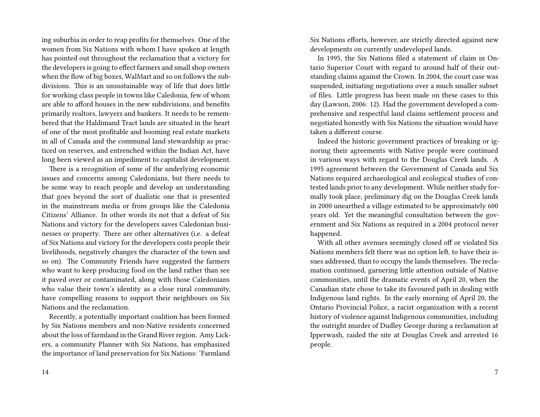ing suburbia in order to reap profits for themselves. One of the women from Six Nations with whom I have spoken at length has pointed out throughout the reclamation that a victory for the developers is going to effect farmers and small shop owners when the flow of big boxes, WalMart and so on follows the subdivisions. This is an unsustainable way of life that does little for working class people in towns like Caledonia, few of whom are able to afford houses in the new subdivisions, and benefits primarily realtors, lawyers and bankers. It needs to be remembered that the Haldimand Tract lands are situated in the heart of one of the most profitable and booming real estate markets in all of Canada and the communal land stewardship as practiced on reserves, and entrenched within the Indian Act, have long been viewed as an impediment to capitalist development.

There is a recognition of some of the underlying economic issues and concerns among Caledonians, but there needs to be some way to reach people and develop an understanding that goes beyond the sort of dualistic one that is presented in the mainstream media or from groups like the Caledonia Citizens' Alliance. In other words its not that a defeat of Six Nations and victory for the developers saves Caledonian businesses or property. There are other alternatives (i.e. a defeat of Six Nations and victory for the developers costs people their livelihoods, negatively changes the character of the town and so on). The Community Friends have suggested the farmers who want to keep producing food on the land rather than see it paved over or contaminated, along with those Caledonians who value their town's identity as a close rural community, have compelling reasons to support their neighbours on Six Nations and the reclamation.

Recently, a potentially important coalition has been formed by Six Nations members and non-Native residents concerned about the loss of farmland in the Grand River region. Amy Lickers, a community Planner with Six Nations, has emphasized the importance of land preservation for Six Nations: 'Farmland

Six Nations efforts, however, are strictly directed against new developments on currently undeveloped lands.

In 1995, the Six Nations filed a statement of claim in Ontario Superior Court with regard to around half of their outstanding claims against the Crown. In 2004, the court case was suspended, initiating negotiations over a much smaller subset of files. Little progress has been made on these cases to this day (Lawson, 2006: 12). Had the government developed a comprehensive and respectful land claims settlement process and negotiated honestly with Six Nations the situation would have taken a different course.

Indeed the historic government practices of breaking or ignoring their agreements with Native people were continued in various ways with regard to the Douglas Creek lands. A 1995 agreement between the Government of Canada and Six Nations required archaeological and ecological studies of contested lands prior to any development. While neither study formally took place, preliminary dig on the Douglas Creek lands in 2000 unearthed a village estimated to be approximately 600 years old. Yet the meaningful consultation between the government and Six Nations as required in a 2004 protocol never happened.

With all other avenues seemingly closed off or violated Six Nations members felt there was no option left, to have their issues addressed, than to occupy the lands themselves. The reclamation continued, garnering little attention outside of Native communities, until the dramatic events of April 20, when the Canadian state chose to take its favoured path in dealing with Indigenous land rights. In the early morning of April 20, the Ontario Provincial Police, a racist organization with a recent history of violence against Indigenous communities, including the outright murder of Dudley George during a reclamation at Ipperwash, raided the site at Douglas Creek and arrested 16 people.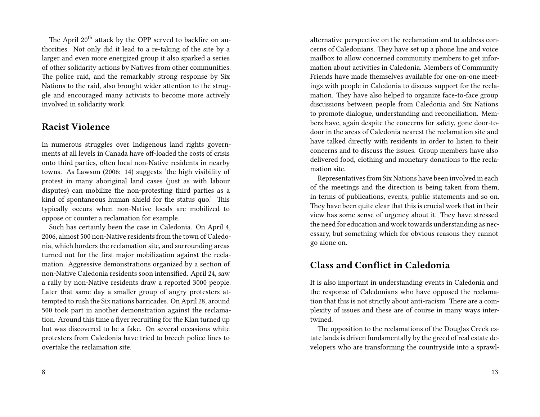The April 20<sup>th</sup> attack by the OPP served to backfire on authorities. Not only did it lead to a re-taking of the site by a larger and even more energized group it also sparked a series of other solidarity actions by Natives from other communities. The police raid, and the remarkably strong response by Six Nations to the raid, also brought wider attention to the struggle and encouraged many activists to become more actively involved in solidarity work.

#### **Racist Violence**

In numerous struggles over Indigenous land rights governments at all levels in Canada have off-loaded the costs of crisis onto third parties, often local non-Native residents in nearby towns. As Lawson (2006: 14) suggests 'the high visibility of protest in many aboriginal land cases (just as with labour disputes) can mobilize the non-protesting third parties as a kind of spontaneous human shield for the status quo.' This typically occurs when non-Native locals are mobilized to oppose or counter a reclamation for example.

Such has certainly been the case in Caledonia. On April 4, 2006, almost 500 non-Native residents from the town of Caledonia, which borders the reclamation site, and surrounding areas turned out for the first major mobilization against the reclamation. Aggressive demonstrations organized by a section of non-Native Caledonia residents soon intensified. April 24, saw a rally by non-Native residents draw a reported 3000 people. Later that same day a smaller group of angry protesters attempted to rush the Six nations barricades. On April 28, around 500 took part in another demonstration against the reclamation. Around this time a flyer recruiting for the Klan turned up but was discovered to be a fake. On several occasions white protesters from Caledonia have tried to breech police lines to overtake the reclamation site.

alternative perspective on the reclamation and to address concerns of Caledonians. They have set up a phone line and voice mailbox to allow concerned community members to get information about activities in Caledonia. Members of Community Friends have made themselves available for one-on-one meetings with people in Caledonia to discuss support for the reclamation. They have also helped to organize face-to-face group discussions between people from Caledonia and Six Nations to promote dialogue, understanding and reconciliation. Members have, again despite the concerns for safety, gone door-todoor in the areas of Caledonia nearest the reclamation site and have talked directly with residents in order to listen to their concerns and to discuss the issues. Group members have also delivered food, clothing and monetary donations to the reclamation site.

Representatives from Six Nations have been involved in each of the meetings and the direction is being taken from them, in terms of publications, events, public statements and so on. They have been quite clear that this is crucial work that in their view has some sense of urgency about it. They have stressed the need for education and work towards understanding as necessary, but something which for obvious reasons they cannot go alone on.

#### **Class and Conflict in Caledonia**

It is also important in understanding events in Caledonia and the response of Caledonians who have opposed the reclamation that this is not strictly about anti-racism. There are a complexity of issues and these are of course in many ways intertwined.

The opposition to the reclamations of the Douglas Creek estate lands is driven fundamentally by the greed of real estate developers who are transforming the countryside into a sprawl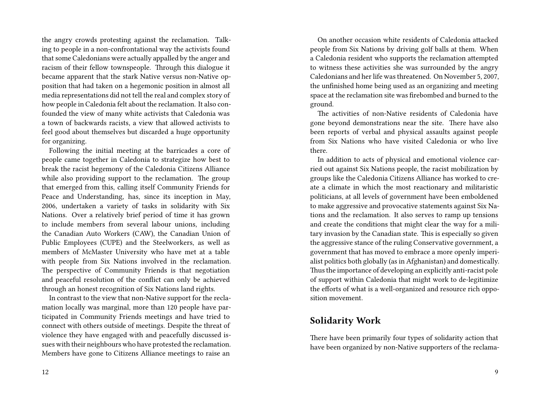the angry crowds protesting against the reclamation. Talking to people in a non-confrontational way the activists found that some Caledonians were actually appalled by the anger and racism of their fellow townspeople. Through this dialogue it became apparent that the stark Native versus non-Native opposition that had taken on a hegemonic position in almost all media representations did not tell the real and complex story of how people in Caledonia felt about the reclamation. It also confounded the view of many white activists that Caledonia was a town of backwards racists, a view that allowed activists to feel good about themselves but discarded a huge opportunity for organizing.

Following the initial meeting at the barricades a core of people came together in Caledonia to strategize how best to break the racist hegemony of the Caledonia Citizens Alliance while also providing support to the reclamation. The group that emerged from this, calling itself Community Friends for Peace and Understanding, has, since its inception in May, 2006, undertaken a variety of tasks in solidarity with Six Nations. Over a relatively brief period of time it has grown to include members from several labour unions, including the Canadian Auto Workers (CAW), the Canadian Union of Public Employees (CUPE) and the Steelworkers, as well as members of McMaster University who have met at a table with people from Six Nations involved in the reclamation. The perspective of Community Friends is that negotiation and peaceful resolution of the conflict can only be achieved through an honest recognition of Six Nations land rights.

In contrast to the view that non-Native support for the reclamation locally was marginal, more than 120 people have participated in Community Friends meetings and have tried to connect with others outside of meetings. Despite the threat of violence they have engaged with and peacefully discussed issues with their neighbours who have protested the reclamation. Members have gone to Citizens Alliance meetings to raise an

On another occasion white residents of Caledonia attacked people from Six Nations by driving golf balls at them. When a Caledonia resident who supports the reclamation attempted to witness these activities she was surrounded by the angry Caledonians and her life was threatened. On November 5, 2007, the unfinished home being used as an organizing and meeting space at the reclamation site was firebombed and burned to the ground.

The activities of non-Native residents of Caledonia have gone beyond demonstrations near the site. There have also been reports of verbal and physical assaults against people from Six Nations who have visited Caledonia or who live there.

In addition to acts of physical and emotional violence carried out against Six Nations people, the racist mobilization by groups like the Caledonia Citizens Alliance has worked to create a climate in which the most reactionary and militaristic politicians, at all levels of government have been emboldened to make aggressive and provocative statements against Six Nations and the reclamation. It also serves to ramp up tensions and create the conditions that might clear the way for a military invasion by the Canadian state. This is especially so given the aggressive stance of the ruling Conservative government, a government that has moved to embrace a more openly imperialist politics both globally (as in Afghanistan) and domestically. Thus the importance of developing an explicitly anti-racist pole of support within Caledonia that might work to de-legitimize the efforts of what is a well-organized and resource rich opposition movement.

### **Solidarity Work**

There have been primarily four types of solidarity action that have been organized by non-Native supporters of the reclama